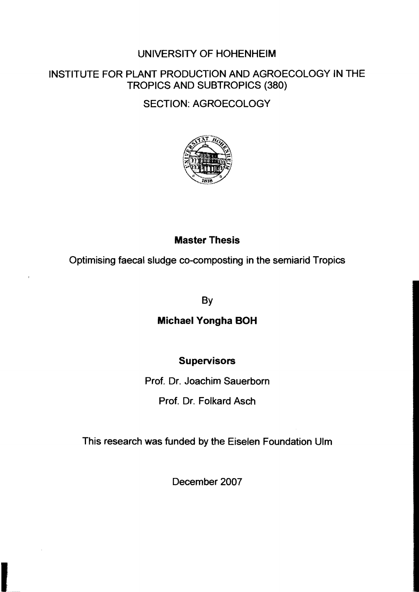#### UNIVERSITY OF HOHENHEIM

#### INSTITUTE FOR PLANT PRODUCTION AND AGROECOLOGY IN THE TROPICS AND SUBTROPICS (380)

SECTION: AGROECOLOGY



# Master Thesis

Optimising faecal sludge co-composting in the semiarid Tropics

By

## Michael Yongha BOH

## **Supervisors**

Prof. Dr. Joachim Sauerborn Prof. Dr. Folkard Asch

This research was funded by the Eiselen Foundation Ulm

December 2007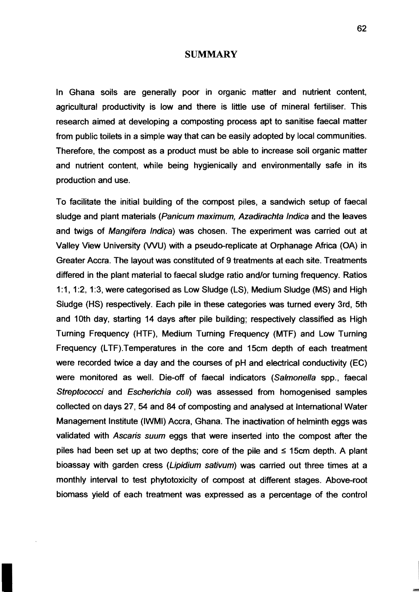#### **SUMMARY**

In Ghana soils are generally poor in organic matter and nutrient content, agricultural productivity is low and there is little use of mineral fertiliser. This research aimed at developing a composting process apt to sanitise faecal matter from public toilets in a simple way that can be easily adopted by local communities. Therefore, the compost as a product must be able to increase soil organic matter and nutrient content, while being hygienically and environmentally safe in its production and use.

To facilitate the initial building of the compost piles, a sandwich setup of faecal sludge and plant materials (Panicum maximum, Azadirachta Indica and the leaves and twigs of Mangifera Indica) was chosen. The experiment was carried out at Valley View University (VVU) with a pseudo-replicate at Orphanage Africa (OA) in Greater Accra. The layout was constituted of 9 treatments at each site. Treatments differed in the plant material to faecal sludge ratio and/or turning frequency. Ratios 1:1,1:2,1:3, were categorised as Low Sludge (LS), Medium Sludge (MS) and High Sludge (HS) respectively. Each pile in these categories was turned every 3rd, 5th and 10th day, starting 14 days after pile building; respectively classified as High Turning Frequency (HTF), Medium Turning Frequency (MTF) and Low Turning Frequency (LTF).Temperatures in the core and 15cm depth of each treatment were recorded twice a day and the courses of pH and electrical conductivity (EC) were monitored as weil. Die-off of faecal indicators (Salmonella spp., faecal Streptococci and Escherichia coli) was assessed from homogenised samples collected on days 27, 54 and 84 of composting and analysed at International Water Management Institute (IWMI) Accra, Ghana. The inactivation of helminth eggs was validated with Ascaris suum eggs that were inserted into the compost after the piles had been set up at two depths; core of the pile and  $\leq$  15cm depth. A plant bioassay with garden cress (Lipidium sativum) was carried out three times at a monthly interval to test phytotoxicity of compost at different stages. Above-root biomass yield of each treatment was expressed as a percentage of the control